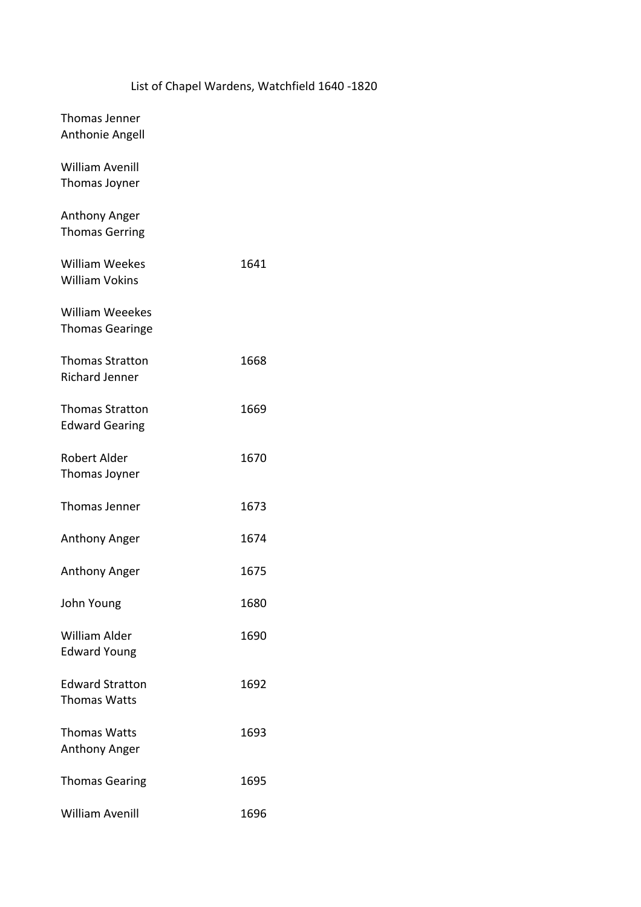## List of Chapel Wardens, Watchfield 1640 -1820

| Thomas Jenner<br>Anthonie Angell                 |      |
|--------------------------------------------------|------|
| <b>William Avenill</b><br>Thomas Joyner          |      |
| Anthony Anger<br><b>Thomas Gerring</b>           |      |
| <b>William Weekes</b><br><b>William Vokins</b>   | 1641 |
| <b>William Weeekes</b><br><b>Thomas Gearinge</b> |      |
| <b>Thomas Stratton</b><br><b>Richard Jenner</b>  | 1668 |
| <b>Thomas Stratton</b><br><b>Edward Gearing</b>  | 1669 |
| Robert Alder<br>Thomas Joyner                    | 1670 |
| Thomas Jenner                                    | 1673 |
| Anthony Anger                                    | 1674 |
| Anthony Anger                                    | 1675 |
| John Young                                       | 1680 |
| <b>William Alder</b><br><b>Edward Young</b>      | 1690 |
| <b>Edward Stratton</b><br><b>Thomas Watts</b>    | 1692 |
| <b>Thomas Watts</b><br>Anthony Anger             | 1693 |
| <b>Thomas Gearing</b>                            | 1695 |
| William Avenill                                  | 1696 |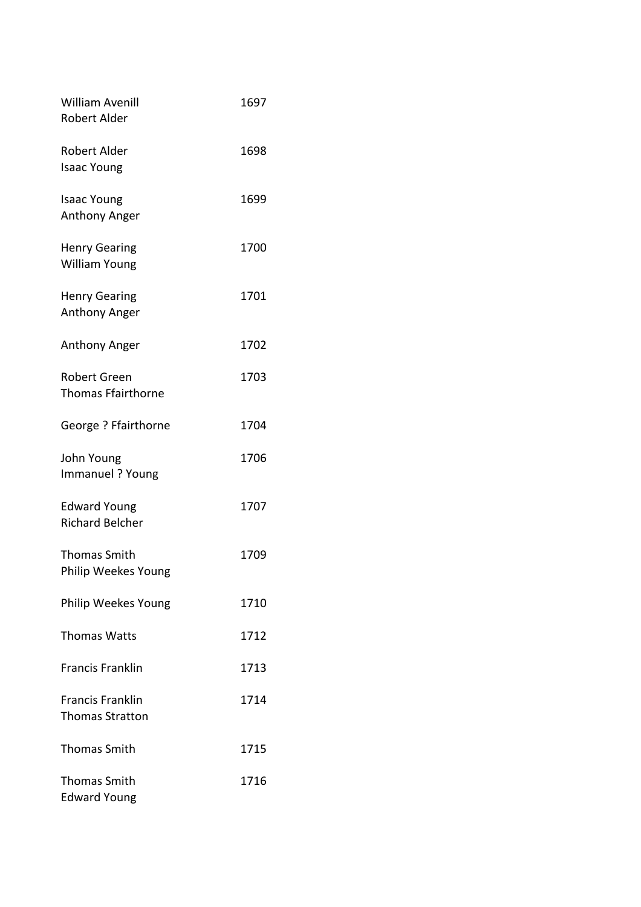| <b>William Avenill</b>                    | 1697 |
|-------------------------------------------|------|
| Robert Alder                              |      |
| <b>Robert Alder</b><br><b>Isaac Young</b> | 1698 |
|                                           |      |
| <b>Isaac Young</b>                        | 1699 |
| <b>Anthony Anger</b>                      |      |
| <b>Henry Gearing</b>                      | 1700 |
| <b>William Young</b>                      |      |
| <b>Henry Gearing</b>                      | 1701 |
| Anthony Anger                             |      |
| Anthony Anger                             | 1702 |
| <b>Robert Green</b>                       | 1703 |
| <b>Thomas Ffairthorne</b>                 |      |
|                                           |      |
| George ? Ffairthorne                      | 1704 |
| John Young                                | 1706 |
| Immanuel ? Young                          |      |
| <b>Edward Young</b>                       | 1707 |
| <b>Richard Belcher</b>                    |      |
| <b>Thomas Smith</b>                       | 1709 |
| Philip Weekes Young                       |      |
|                                           | 1710 |
| Philip Weekes Young                       |      |
| <b>Thomas Watts</b>                       | 1712 |
| <b>Francis Franklin</b>                   | 1713 |
| <b>Francis Franklin</b>                   | 1714 |
| <b>Thomas Stratton</b>                    |      |
| <b>Thomas Smith</b>                       | 1715 |
|                                           |      |
| <b>Thomas Smith</b>                       | 1716 |
| <b>Edward Young</b>                       |      |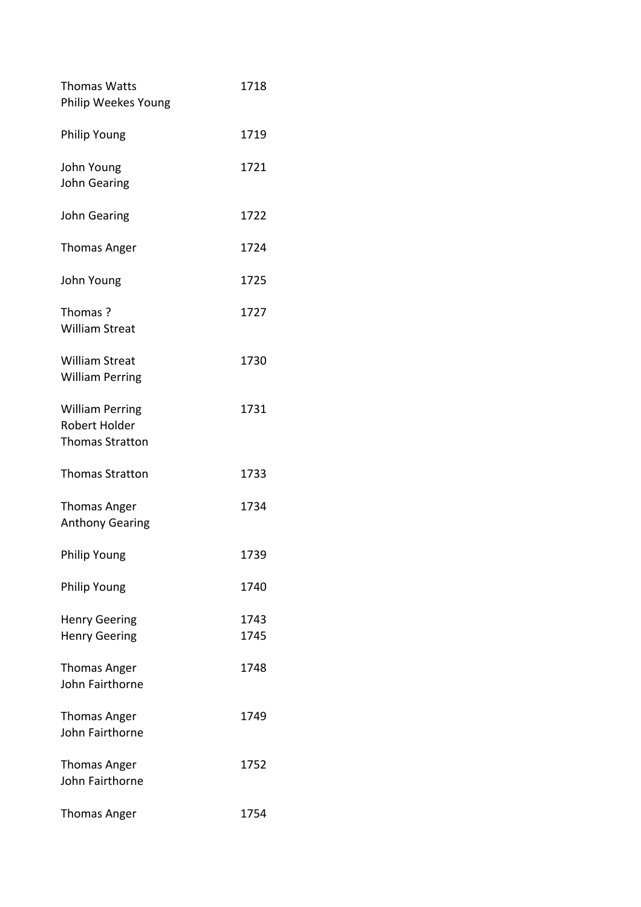| 1718 |
|------|
|      |
| 1719 |
| 1721 |
|      |
| 1722 |
| 1724 |
| 1725 |
| 1727 |
|      |
| 1730 |
|      |
| 1731 |
|      |
|      |
| 1733 |
| 1734 |
|      |
| 1739 |
| 1740 |
| 1743 |
| 1745 |
| 1748 |
|      |
| 1749 |
|      |
| 1752 |
|      |
| 1754 |
|      |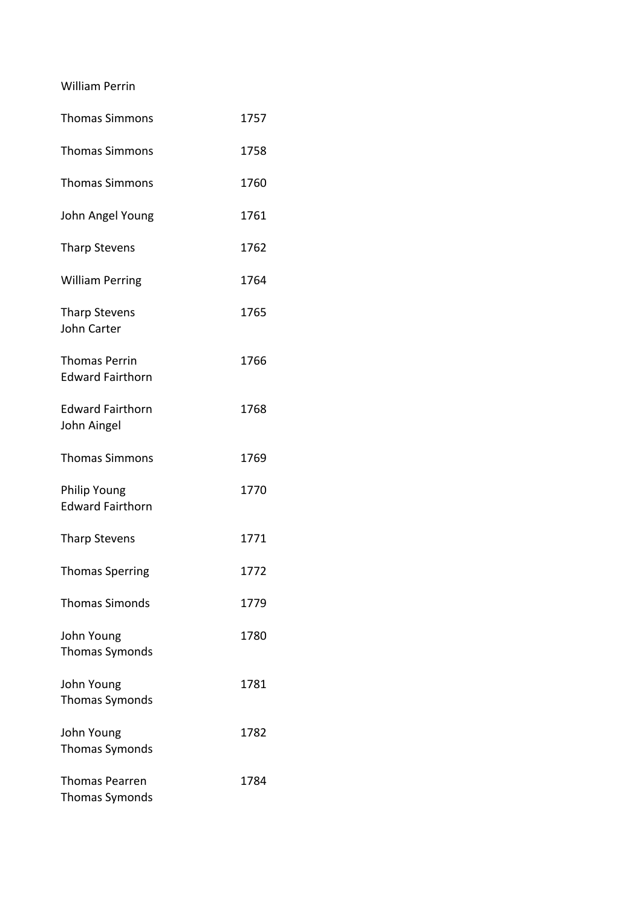William Perrin

| <b>Thomas Simmons</b>                           | 1757 |
|-------------------------------------------------|------|
| <b>Thomas Simmons</b>                           | 1758 |
| <b>Thomas Simmons</b>                           | 1760 |
| John Angel Young                                | 1761 |
| <b>Tharp Stevens</b>                            | 1762 |
| <b>William Perring</b>                          | 1764 |
| <b>Tharp Stevens</b><br><b>John Carter</b>      | 1765 |
| <b>Thomas Perrin</b><br><b>Edward Fairthorn</b> | 1766 |
| <b>Edward Fairthorn</b><br>John Aingel          | 1768 |
| <b>Thomas Simmons</b>                           | 1769 |
| <b>Philip Young</b><br><b>Edward Fairthorn</b>  | 1770 |
| <b>Tharp Stevens</b>                            | 1771 |
| <b>Thomas Sperring</b>                          | 1772 |
| <b>Thomas Simonds</b>                           | 1779 |
| John Young<br><b>Thomas Symonds</b>             | 1780 |
| John Young<br><b>Thomas Symonds</b>             | 1781 |
| John Young<br><b>Thomas Symonds</b>             | 1782 |
| <b>Thomas Pearren</b><br><b>Thomas Symonds</b>  | 1784 |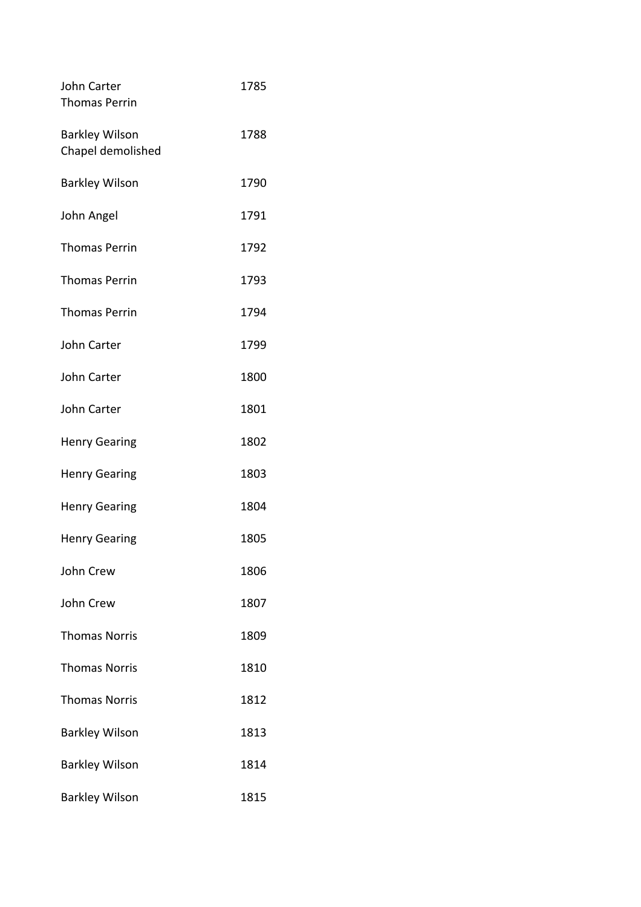| John Carter<br><b>Thomas Perrin</b>        | 1785 |
|--------------------------------------------|------|
| <b>Barkley Wilson</b><br>Chapel demolished | 1788 |
| <b>Barkley Wilson</b>                      | 1790 |
| John Angel                                 | 1791 |
| <b>Thomas Perrin</b>                       | 1792 |
| <b>Thomas Perrin</b>                       | 1793 |
| <b>Thomas Perrin</b>                       | 1794 |
| John Carter                                | 1799 |
| <b>John Carter</b>                         | 1800 |
| <b>John Carter</b>                         | 1801 |
| <b>Henry Gearing</b>                       | 1802 |
| <b>Henry Gearing</b>                       | 1803 |
| <b>Henry Gearing</b>                       | 1804 |
| <b>Henry Gearing</b>                       | 1805 |
| John Crew                                  | 1806 |
| John Crew                                  | 1807 |
| <b>Thomas Norris</b>                       | 1809 |
| <b>Thomas Norris</b>                       | 1810 |
| <b>Thomas Norris</b>                       | 1812 |
| <b>Barkley Wilson</b>                      | 1813 |
| <b>Barkley Wilson</b>                      | 1814 |
| <b>Barkley Wilson</b>                      | 1815 |